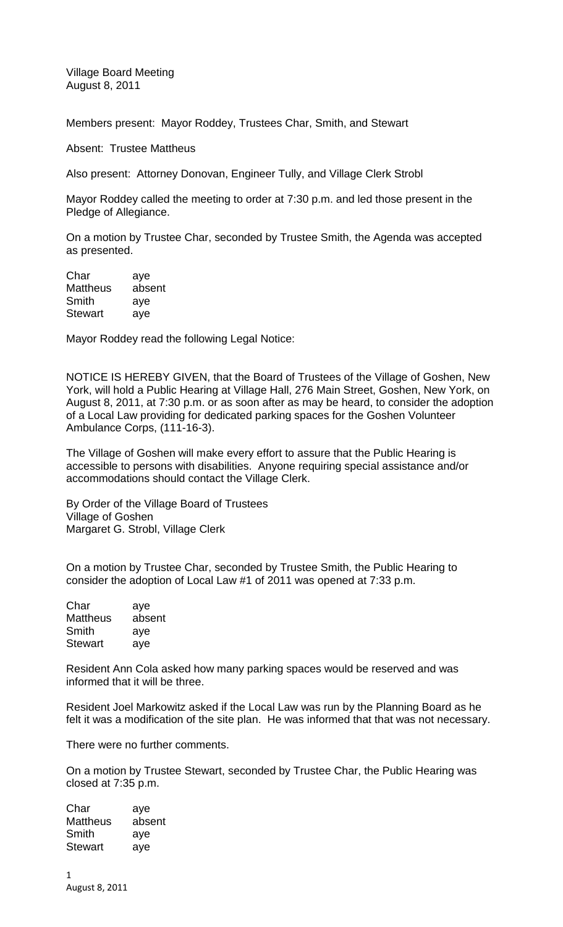Village Board Meeting August 8, 2011

Members present: Mayor Roddey, Trustees Char, Smith, and Stewart

Absent: Trustee Mattheus

Also present: Attorney Donovan, Engineer Tully, and Village Clerk Strobl

Mayor Roddey called the meeting to order at 7:30 p.m. and led those present in the Pledge of Allegiance.

On a motion by Trustee Char, seconded by Trustee Smith, the Agenda was accepted as presented.

| Char            | aye    |
|-----------------|--------|
| <b>Mattheus</b> | absent |
| Smith           | aye    |
| <b>Stewart</b>  | aye    |

Mayor Roddey read the following Legal Notice:

NOTICE IS HEREBY GIVEN, that the Board of Trustees of the Village of Goshen, New York, will hold a Public Hearing at Village Hall, 276 Main Street, Goshen, New York, on August 8, 2011, at 7:30 p.m. or as soon after as may be heard, to consider the adoption of a Local Law providing for dedicated parking spaces for the Goshen Volunteer Ambulance Corps, (111-16-3).

The Village of Goshen will make every effort to assure that the Public Hearing is accessible to persons with disabilities. Anyone requiring special assistance and/or accommodations should contact the Village Clerk.

By Order of the Village Board of Trustees Village of Goshen Margaret G. Strobl, Village Clerk

On a motion by Trustee Char, seconded by Trustee Smith, the Public Hearing to consider the adoption of Local Law #1 of 2011 was opened at 7:33 p.m.

| Char            | aye    |
|-----------------|--------|
| <b>Mattheus</b> | absent |
| Smith           | aye    |
| <b>Stewart</b>  | aye    |

Resident Ann Cola asked how many parking spaces would be reserved and was informed that it will be three.

Resident Joel Markowitz asked if the Local Law was run by the Planning Board as he felt it was a modification of the site plan. He was informed that that was not necessary.

There were no further comments.

On a motion by Trustee Stewart, seconded by Trustee Char, the Public Hearing was closed at 7:35 p.m.

| Char            | aye    |
|-----------------|--------|
| <b>Mattheus</b> | absent |
| Smith           | aye    |
| <b>Stewart</b>  | aye    |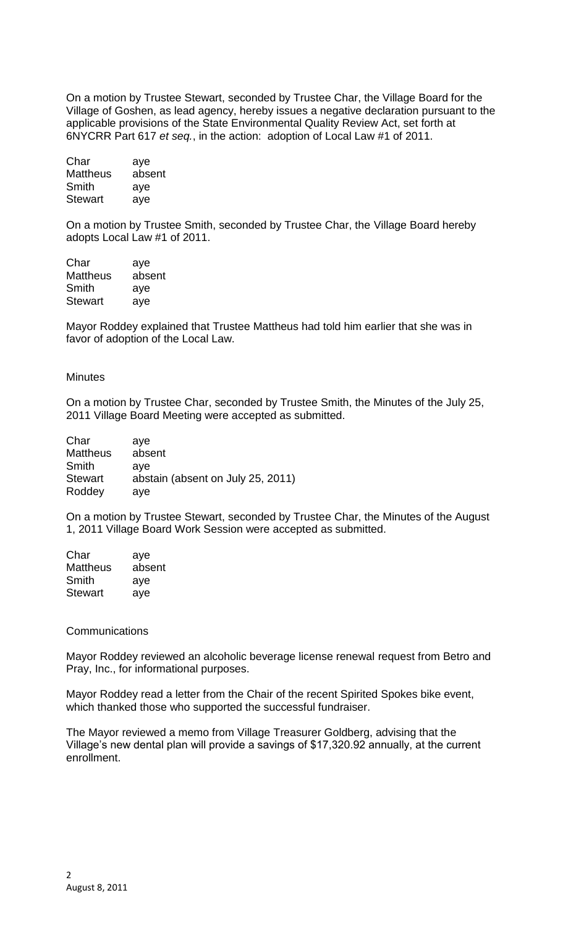On a motion by Trustee Stewart, seconded by Trustee Char, the Village Board for the Village of Goshen, as lead agency, hereby issues a negative declaration pursuant to the applicable provisions of the State Environmental Quality Review Act, set forth at 6NYCRR Part 617 *et seq.*, in the action: adoption of Local Law #1 of 2011.

Char aye Mattheus absent Smith aye Stewart aye

On a motion by Trustee Smith, seconded by Trustee Char, the Village Board hereby adopts Local Law #1 of 2011.

Char aye Mattheus absent Smith aye Stewart aye

Mayor Roddey explained that Trustee Mattheus had told him earlier that she was in favor of adoption of the Local Law.

## **Minutes**

On a motion by Trustee Char, seconded by Trustee Smith, the Minutes of the July 25, 2011 Village Board Meeting were accepted as submitted.

| Char            | ave                               |
|-----------------|-----------------------------------|
| <b>Mattheus</b> | absent                            |
| Smith           | ave                               |
| <b>Stewart</b>  | abstain (absent on July 25, 2011) |
| Roddey          | ave                               |

On a motion by Trustee Stewart, seconded by Trustee Char, the Minutes of the August 1, 2011 Village Board Work Session were accepted as submitted.

| Char            | aye    |
|-----------------|--------|
| <b>Mattheus</b> | absent |
| Smith           | aye    |
| <b>Stewart</b>  | aye    |

## **Communications**

Mayor Roddey reviewed an alcoholic beverage license renewal request from Betro and Pray, Inc., for informational purposes.

Mayor Roddey read a letter from the Chair of the recent Spirited Spokes bike event, which thanked those who supported the successful fundraiser.

The Mayor reviewed a memo from Village Treasurer Goldberg, advising that the Village's new dental plan will provide a savings of \$17,320.92 annually, at the current enrollment.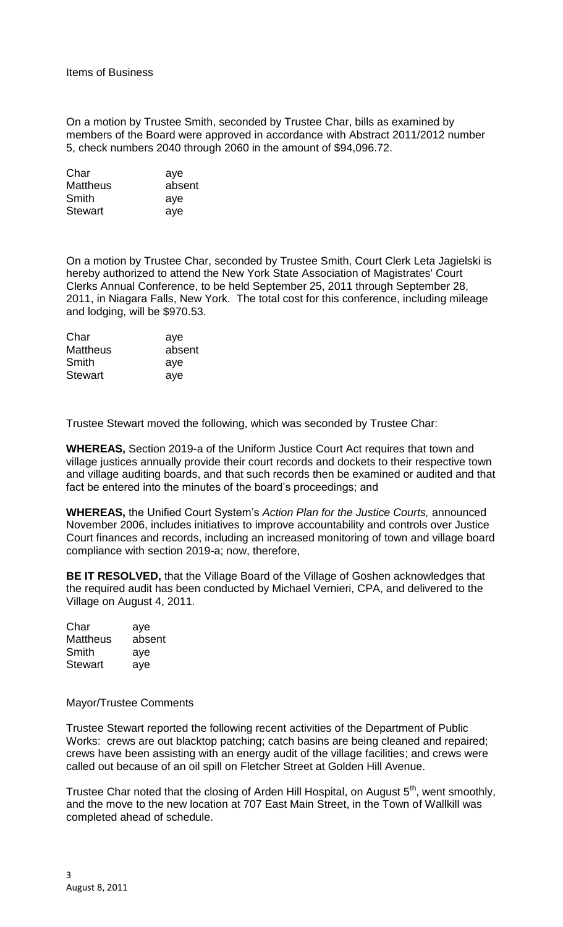On a motion by Trustee Smith, seconded by Trustee Char, bills as examined by members of the Board were approved in accordance with Abstract 2011/2012 number 5, check numbers 2040 through 2060 in the amount of \$94,096.72.

| Char            | aye    |
|-----------------|--------|
| <b>Mattheus</b> | absent |
| Smith           | aye    |
| <b>Stewart</b>  | aye    |

On a motion by Trustee Char, seconded by Trustee Smith, Court Clerk Leta Jagielski is hereby authorized to attend the New York State Association of Magistrates' Court Clerks Annual Conference, to be held September 25, 2011 through September 28, 2011, in Niagara Falls, New York. The total cost for this conference, including mileage and lodging, will be \$970.53.

| Char            | aye    |
|-----------------|--------|
| <b>Mattheus</b> | absent |
| Smith           | aye    |
| <b>Stewart</b>  | aye    |

Trustee Stewart moved the following, which was seconded by Trustee Char:

**WHEREAS,** Section 2019-a of the Uniform Justice Court Act requires that town and village justices annually provide their court records and dockets to their respective town and village auditing boards, and that such records then be examined or audited and that fact be entered into the minutes of the board's proceedings; and

**WHEREAS,** the Unified Court System's *Action Plan for the Justice Courts,* announced November 2006, includes initiatives to improve accountability and controls over Justice Court finances and records, including an increased monitoring of town and village board compliance with section 2019-a; now, therefore,

**BE IT RESOLVED,** that the Village Board of the Village of Goshen acknowledges that the required audit has been conducted by Michael Vernieri, CPA, and delivered to the Village on August 4, 2011.

| Char            | aye    |
|-----------------|--------|
| <b>Mattheus</b> | absent |
| Smith           | aye    |
| <b>Stewart</b>  | aye    |

## Mayor/Trustee Comments

Trustee Stewart reported the following recent activities of the Department of Public Works: crews are out blacktop patching; catch basins are being cleaned and repaired; crews have been assisting with an energy audit of the village facilities; and crews were called out because of an oil spill on Fletcher Street at Golden Hill Avenue.

Trustee Char noted that the closing of Arden Hill Hospital, on August  $5<sup>th</sup>$ , went smoothly, and the move to the new location at 707 East Main Street, in the Town of Wallkill was completed ahead of schedule.